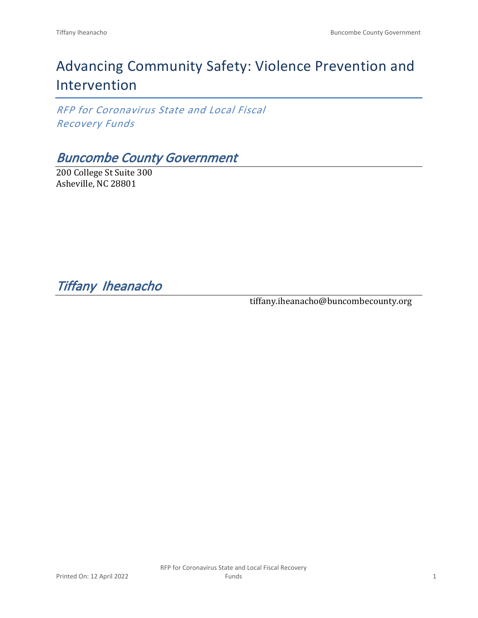# Advancing Community Safety: Violence Prevention and Intervention

*RFP for Coronavirus State and Local Fiscal Recovery Funds*

### *Buncombe County Government*

200 College St Suite 300 Asheville, NC 28801

*Tiffany Iheanacho* 

tiffany.iheanacho@buncombecounty.org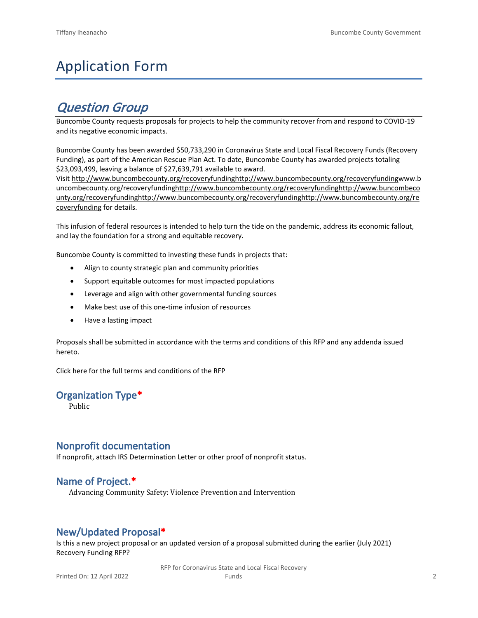## Application Form

### *Question Group*

Buncombe County requests proposals for projects to help the community recover from and respond to COVID-19 and its negative economic impacts.

Buncombe County has been awarded \$50,733,290 in Coronavirus State and Local Fiscal Recovery Funds (Recovery Funding), as part of the American Rescue Plan Act. To date, Buncombe County has awarded projects totaling \$23,093,499, leaving a balance of \$27,639,791 available to award.

Visit [http://www.buncombecounty.org/recoveryfundinghttp://www.buncombecounty.org/recoveryfundingwww.b](http://www.buncombecounty.org/recoveryfunding) [uncombecounty.org/recoveryfundinghttp://www.buncombecounty.org/recoveryfundinghttp://www.buncombeco](http://www.buncombecounty.org/recoveryfunding) [unty.org/recoveryfundinghttp://www.buncombecounty.org/recoveryfundinghttp://www.buncombecounty.org/re](http://www.buncombecounty.org/recoveryfunding) [coveryfunding](http://www.buncombecounty.org/recoveryfunding) for details.

This infusion of federal resources is intended to help turn the tide on the pandemic, address its economic fallout, and lay the foundation for a strong and equitable recovery.

Buncombe County is committed to investing these funds in projects that:

- Align to county strategic plan and community priorities
- Support equitable outcomes for most impacted populations
- Leverage and align with other governmental funding sources
- Make best use of this one-time infusion of resources
- Have a lasting impact

Proposals shall be submitted in accordance with the terms and conditions of this RFP and any addenda issued hereto.

Click [here](https://www.buncombecounty.org/common/purchasing/Buncombe%20Recovery%20Funding%20RFP%202022.pdf) for the full terms and conditions of the RFP

#### **Organization Type\***

Public

#### **Nonprofit documentation**

If nonprofit, attach IRS Determination Letter or other proof of nonprofit status.

#### **Name of Project.\***

Advancing Community Safety: Violence Prevention and Intervention

#### **New/Updated Proposal\***

Is this a new project proposal or an updated version of a proposal submitted during the earlier (July 2021) Recovery Funding RFP?

> RFP for Coronavirus State and Local Fiscal Recovery Funds 2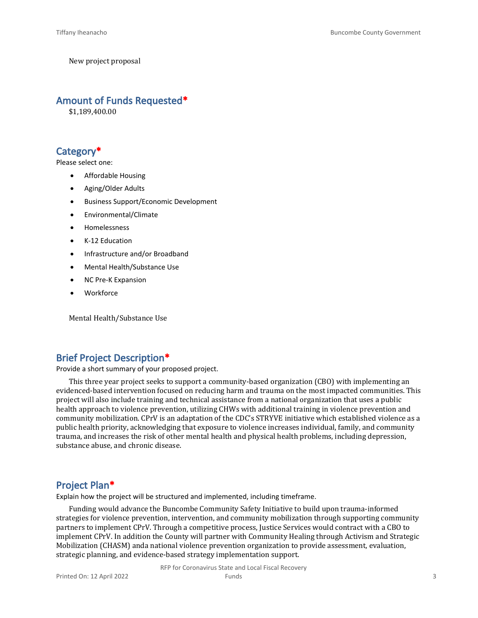New project proposal

#### **Amount of Funds Requested\***

\$1,189,400.00

#### **Category\***

Please select one:

- Affordable Housing
- Aging/Older Adults
- Business Support/Economic Development
- Environmental/Climate
- Homelessness
- K-12 Education
- Infrastructure and/or Broadband
- Mental Health/Substance Use
- NC Pre-K Expansion
- **Workforce**

Mental Health/Substance Use

#### **Brief Project Description\***

Provide a short summary of your proposed project.

This three year project seeks to support a community-based organization (CBO) with implementing an evidenced-based intervention focused on reducing harm and trauma on the most impacted communities. This project will also include training and technical assistance from a national organization that uses a public health approach to violence prevention, utilizing CHWs with additional training in violence prevention and community mobilization. CPrV is an adaptation of the CDC's STRYVE initiative which established violence as a public health priority, acknowledging that exposure to violence increases individual, family, and community trauma, and increases the risk of other mental health and physical health problems, including depression, substance abuse, and chronic disease.

#### **Project Plan\***

Explain how the project will be structured and implemented, including timeframe.

Funding would advance the Buncombe Community Safety Initiative to build upon trauma-informed strategies for violence prevention, intervention, and community mobilization through supporting community partners to implement CPrV. Through a competitive process, Justice Services would contract with a CBO to implement CPrV. In addition the County will partner with Community Healing through Activism and Strategic Mobilization (CHASM) anda national violence prevention organization to provide assessment, evaluation, strategic planning, and evidence-based strategy implementation support.

> RFP for Coronavirus State and Local Fiscal Recovery Funds 3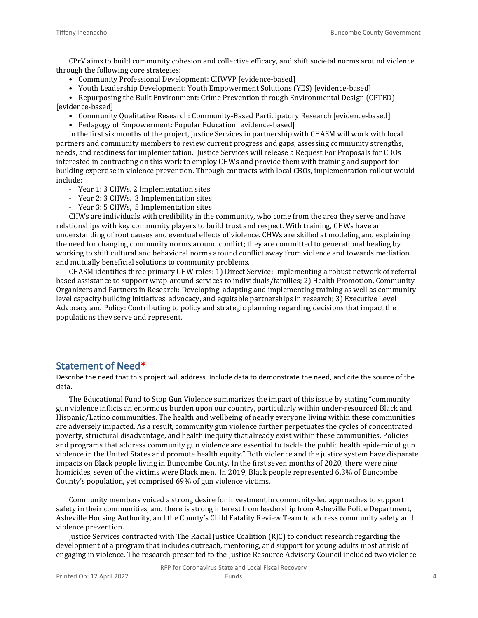CPrV aims to build community cohesion and collective efficacy, and shift societal norms around violence through the following core strategies:

- Community Professional Development: CHWVP [evidence-based]
- Youth Leadership Development: Youth Empowerment Solutions (YES) [evidence-based]

• Repurposing the Built Environment: Crime Prevention through Environmental Design (CPTED) [evidence-based]

- Community Qualitative Research: Community-Based Participatory Research [evidence-based]
- Pedagogy of Empowerment: Popular Education [evidence-based]

In the first six months of the project, Justice Services in partnership with CHASM will work with local partners and community members to review current progress and gaps, assessing community strengths, needs, and readiness for implementation. Justice Services will release a Request For Proposals for CBOs interested in contracting on this work to employ CHWs and provide them with training and support for building expertise in violence prevention. Through contracts with local CBOs, implementation rollout would include:

- Year 1: 3 CHWs, 2 Implementation sites
- Year 2: 3 CHWs, 3 Implementation sites
- Year 3: 5 CHWs, 5 Implementation sites

CHWs are individuals with credibility in the community, who come from the area they serve and have relationships with key community players to build trust and respect. With training, CHWs have an understanding of root causes and eventual effects of violence. CHWs are skilled at modeling and explaining the need for changing community norms around conflict; they are committed to generational healing by working to shift cultural and behavioral norms around conflict away from violence and towards mediation and mutually beneficial solutions to community problems.

CHASM identifies three primary CHW roles: 1) Direct Service: Implementing a robust network of referralbased assistance to support wrap-around services to individuals/families; 2) Health Promotion, Community Organizers and Partners in Research: Developing, adapting and implementing training as well as communitylevel capacity building initiatives, advocacy, and equitable partnerships in research; 3) Executive Level Advocacy and Policy: Contributing to policy and strategic planning regarding decisions that impact the populations they serve and represent.

#### **Statement of Need\***

Describe the need that this project will address. Include data to demonstrate the need, and cite the source of the data.

The Educational Fund to Stop Gun Violence summarizes the impact of this issue by stating "community gun violence inflicts an enormous burden upon our country, particularly within under-resourced Black and Hispanic/Latino communities. The health and wellbeing of nearly everyone living within these communities are adversely impacted. As a result, community gun violence further perpetuates the cycles of concentrated poverty, structural disadvantage, and health inequity that already exist within these communities. Policies and programs that address community gun violence are essential to tackle the public health epidemic of gun violence in the United States and promote health equity." Both violence and the justice system have disparate impacts on Black people living in Buncombe County. In the first seven months of 2020, there were nine homicides, seven of the victims were Black men. In 2019, Black people represented 6.3% of Buncombe County's population, yet comprised 69% of gun violence victims.

Community members voiced a strong desire for investment in community-led approaches to support safety in their communities, and there is strong interest from leadership from Asheville Police Department, Asheville Housing Authority, and the County's Child Fatality Review Team to address community safety and violence prevention.

Justice Services contracted with The Racial Justice Coalition (RJC) to conduct research regarding the development of a program that includes outreach, mentoring, and support for young adults most at risk of engaging in violence. The research presented to the Justice Resource Advisory Council included two violence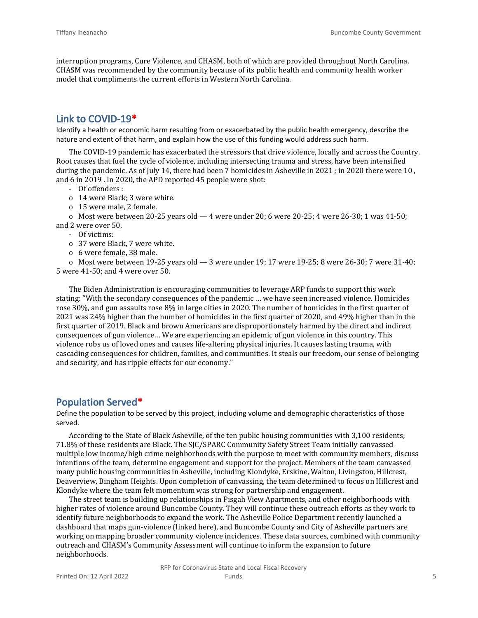interruption programs, Cure Violence, and CHASM, both of which are provided throughout North Carolina. CHASM was recommended by the community because of its public health and community health worker model that compliments the current efforts in Western North Carolina.

#### **Link to COVID-19\***

Identify a health or economic harm resulting from or exacerbated by the public health emergency, describe the nature and extent of that harm, and explain how the use of this funding would address such harm.

The COVID-19 pandemic has exacerbated the stressors that drive violence, locally and across the Country. Root causes that fuel the cycle of violence, including intersecting trauma and stress, have been intensified during the pandemic. As of July 14, there had been 7 homicides in Asheville in 2021 ; in 2020 there were 10 , and 6 in 2019 . In 2020, the APD reported 45 people were shot:

- Of offenders :
- o 14 were Black; 3 were white.
- o 15 were male, 2 female.

o Most were between 20-25 years old — 4 were under 20; 6 were 20-25; 4 were 26-30; 1 was 41-50; and 2 were over 50.

- Of victims:
- o 37 were Black, 7 were white.
- o 6 were female, 38 male.

o Most were between 19-25 years old — 3 were under 19; 17 were 19-25; 8 were 26-30; 7 were 31-40; 5 were 41-50; and 4 were over 50.

The Biden Administration is encouraging communities to leverage ARP funds to support this work stating: "With the secondary consequences of the pandemic … we have seen increased violence. Homicides rose 30%, and gun assaults rose 8% in large cities in 2020. The number of homicides in the first quarter of 2021 was 24% higher than the number of homicides in the first quarter of 2020, and 49% higher than in the first quarter of 2019. Black and brown Americans are disproportionately harmed by the direct and indirect consequences of gun violence… We are experiencing an epidemic of gun violence in this country. This violence robs us of loved ones and causes life-altering physical injuries. It causes lasting trauma, with cascading consequences for children, families, and communities. It steals our freedom, our sense of belonging and security, and has ripple effects for our economy."

#### **Population Served\***

Define the population to be served by this project, including volume and demographic characteristics of those served.

According to the State of Black Asheville, of the ten public housing communities with 3,100 residents; 71.8% of these residents are Black. The SJC/SPARC Community Safety Street Team initially canvassed multiple low income/high crime neighborhoods with the purpose to meet with community members, discuss intentions of the team, determine engagement and support for the project. Members of the team canvassed many public housing communities in Asheville, including Klondyke, Erskine, Walton, Livingston, Hillcrest, Deaverview, Bingham Heights. Upon completion of canvassing, the team determined to focus on Hillcrest and Klondyke where the team felt momentum was strong for partnership and engagement.

The street team is building up relationships in Pisgah View Apartments, and other neighborhoods with higher rates of violence around Buncombe County. They will continue these outreach efforts as they work to identify future neighborhoods to expand the work. The Asheville Police Department recently launched a dashboard that maps gun-violence (linked here), and Buncombe County and City of Asheville partners are working on mapping broader community violence incidences. These data sources, combined with community outreach and CHASM's Community Assessment will continue to inform the expansion to future neighborhoods.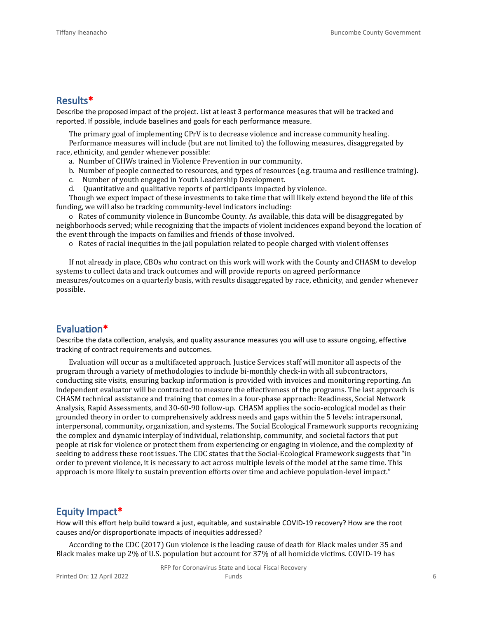#### **Results\***

Describe the proposed impact of the project. List at least 3 performance measures that will be tracked and reported. If possible, include baselines and goals for each performance measure.

The primary goal of implementing CPrV is to decrease violence and increase community healing.

Performance measures will include (but are not limited to) the following measures, disaggregated by race, ethnicity, and gender whenever possible:

a. Number of CHWs trained in Violence Prevention in our community.

- b. Number of people connected to resources, and types of resources (e.g. trauma and resilience training).
- c. Number of youth engaged in Youth Leadership Development.
- d. Quantitative and qualitative reports of participants impacted by violence.

Though we expect impact of these investments to take time that will likely extend beyond the life of this funding, we will also be tracking community-level indicators including:

o Rates of community violence in Buncombe County. As available, this data will be disaggregated by neighborhoods served; while recognizing that the impacts of violent incidences expand beyond the location of the event through the impacts on families and friends of those involved.

o Rates of racial inequities in the jail population related to people charged with violent offenses

If not already in place, CBOs who contract on this work will work with the County and CHASM to develop systems to collect data and track outcomes and will provide reports on agreed performance measures/outcomes on a quarterly basis, with results disaggregated by race, ethnicity, and gender whenever possible.

#### **Evaluation\***

Describe the data collection, analysis, and quality assurance measures you will use to assure ongoing, effective tracking of contract requirements and outcomes.

Evaluation will occur as a multifaceted approach. Justice Services staff will monitor all aspects of the program through a variety of methodologies to include bi-monthly check-in with all subcontractors, conducting site visits, ensuring backup information is provided with invoices and monitoring reporting. An independent evaluator will be contracted to measure the effectiveness of the programs. The last approach is CHASM technical assistance and training that comes in a four-phase approach: Readiness, Social Network Analysis, Rapid Assessments, and 30-60-90 follow-up. CHASM applies the socio-ecological model as their grounded theory in order to comprehensively address needs and gaps within the 5 levels: intrapersonal, interpersonal, community, organization, and systems. The Social Ecological Framework supports recognizing the complex and dynamic interplay of individual, relationship, community, and societal factors that put people at risk for violence or protect them from experiencing or engaging in violence, and the complexity of seeking to address these root issues. The CDC states that the Social-Ecological Framework suggests that "in order to prevent violence, it is necessary to act across multiple levels of the model at the same time. This approach is more likely to sustain prevention efforts over time and achieve population-level impact."

#### **Equity Impact\***

How will this effort help build toward a just, equitable, and sustainable COVID-19 recovery? How are the root causes and/or disproportionate impacts of inequities addressed?

According to the CDC (2017) Gun violence is the leading cause of death for Black males under 35 and Black males make up 2% of U.S. population but account for 37% of all homicide victims. COVID-19 has

RFP for Coronavirus State and Local Fiscal Recovery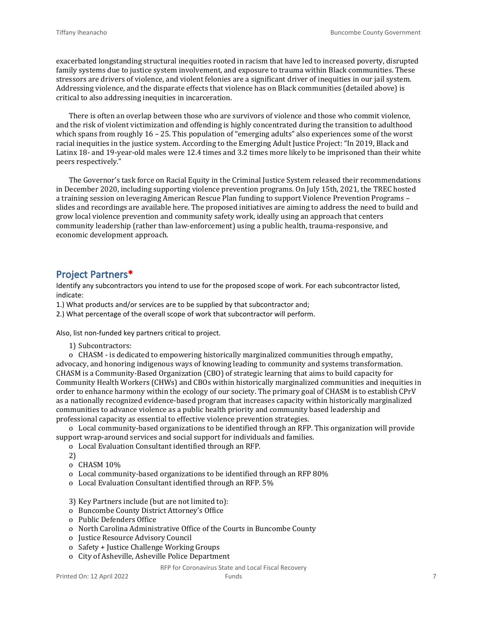exacerbated longstanding structural inequities rooted in racism that have led to increased poverty, disrupted family systems due to justice system involvement, and exposure to trauma within Black communities. These stressors are drivers of violence, and violent felonies are a significant driver of inequities in our jail system. Addressing violence, and the disparate effects that violence has on Black communities (detailed above) is critical to also addressing inequities in incarceration.

There is often an overlap between those who are survivors of violence and those who commit violence, and the risk of violent victimization and offending is highly concentrated during the transition to adulthood which spans from roughly 16 – 25. This population of "emerging adults" also experiences some of the worst racial inequities in the justice system. According to the Emerging Adult Justice Project: "In 2019, Black and Latinx 18- and 19-year-old males were 12.4 times and 3.2 times more likely to be imprisoned than their white peers respectively."

The Governor's task force on Racial Equity in the Criminal Justice System released their recommendations in December 2020, including supporting violence prevention programs. On July 15th, 2021, the TREC hosted a training session on leveraging American Rescue Plan funding to support Violence Prevention Programs – slides and recordings are available here. The proposed initiatives are aiming to address the need to build and grow local violence prevention and community safety work, ideally using an approach that centers community leadership (rather than law-enforcement) using a public health, trauma-responsive, and economic development approach.

#### **Project Partners\***

Identify any subcontractors you intend to use for the proposed scope of work. For each subcontractor listed, indicate:

1.) What products and/or services are to be supplied by that subcontractor and;

2.) What percentage of the overall scope of work that subcontractor will perform.

Also, list non-funded key partners critical to project.

1) Subcontractors:

o CHASM - is dedicated to empowering historically marginalized communities through empathy, advocacy, and honoring indigenous ways of knowing leading to community and systems transformation. CHASM is a Community-Based Organization (CBO) of strategic learning that aims to build capacity for Community Health Workers (CHWs) and CBOs within historically marginalized communities and inequities in order to enhance harmony within the ecology of our society. The primary goal of CHASM is to establish CPrV as a nationally recognized evidence-based program that increases capacity within historically marginalized communities to advance violence as a public health priority and community based leadership and professional capacity as essential to effective violence prevention strategies.

o Local community-based organizations to be identified through an RFP. This organization will provide support wrap-around services and social support for individuals and families.

o Local Evaluation Consultant identified through an RFP.

- 2)
- o CHASM 10%
- o Local community-based organizations to be identified through an RFP 80%
- o Local Evaluation Consultant identified through an RFP. 5%
- 3) Key Partners include (but are not limited to):
- o Buncombe County District Attorney's Office
- o Public Defenders Office
- o North Carolina Administrative Office of the Courts in Buncombe County
- o Justice Resource Advisory Council
- o Safety + Justice Challenge Working Groups
- o City of Asheville, Asheville Police Department

#### RFP for Coronavirus State and Local Fiscal Recovery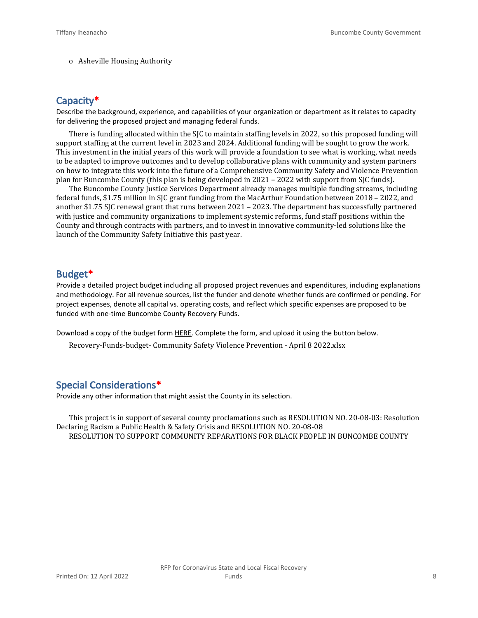o Asheville Housing Authority

#### **Capacity\***

Describe the background, experience, and capabilities of your organization or department as it relates to capacity for delivering the proposed project and managing federal funds.

There is funding allocated within the SJC to maintain staffing levels in 2022, so this proposed funding will support staffing at the current level in 2023 and 2024. Additional funding will be sought to grow the work. This investment in the initial years of this work will provide a foundation to see what is working, what needs to be adapted to improve outcomes and to develop collaborative plans with community and system partners on how to integrate this work into the future of a Comprehensive Community Safety and Violence Prevention plan for Buncombe County (this plan is being developed in 2021 – 2022 with support from SJC funds).

The Buncombe County Justice Services Department already manages multiple funding streams, including federal funds, \$1.75 million in SJC grant funding from the MacArthur Foundation between 2018 – 2022, and another \$1.75 SJC renewal grant that runs between 2021 – 2023. The department has successfully partnered with justice and community organizations to implement systemic reforms, fund staff positions within the County and through contracts with partners, and to invest in innovative community-led solutions like the launch of the Community Safety Initiative this past year.

#### **Budget\***

Provide a detailed project budget including all proposed project revenues and expenditures, including explanations and methodology. For all revenue sources, list the funder and denote whether funds are confirmed or pending. For project expenses, denote all capital vs. operating costs, and reflect which specific expenses are proposed to be funded with one-time Buncombe County Recovery Funds.

Download a copy of the budget form [HERE](https://buncombecounty.org/common/community-investment/grants/early-childhood-education/Recovery-Funds-budget-template.xlsx). Complete the form, and upload it using the button below.

Recovery-Funds-budget- Community Safety Violence Prevention - April 8 2022.xlsx

#### **Special Considerations\***

Provide any other information that might assist the County in its selection.

This project is in support of several county proclamations such as RESOLUTION NO. 20-08-03: Resolution Declaring Racism a Public Health & Safety Crisis and RESOLUTION NO. 20-08-08 RESOLUTION TO SUPPORT COMMUNITY REPARATIONS FOR BLACK PEOPLE IN BUNCOMBE COUNTY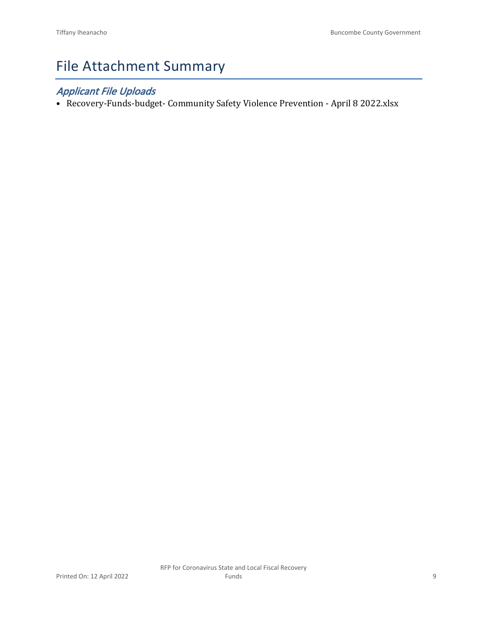## File Attachment Summary

### *Applicant File Uploads*

• Recovery-Funds-budget- Community Safety Violence Prevention - April 8 2022.xlsx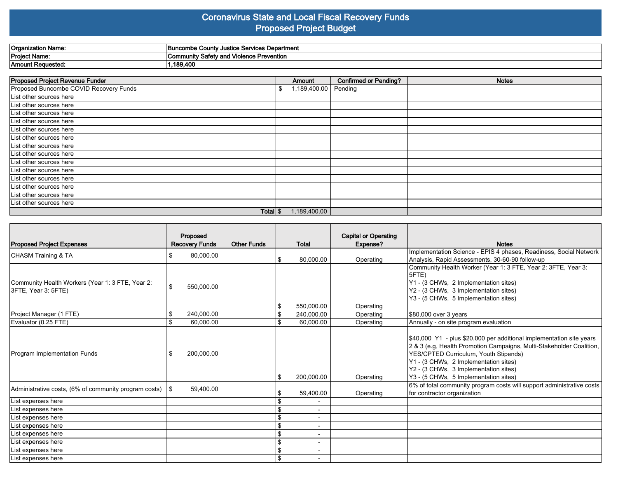#### **Coronavirus State and Local Fiscal Recovery Funds Proposed Project Budget**

| Organization Name:   | Justice Services Department<br>: Countv<br>'Buncombe                       |
|----------------------|----------------------------------------------------------------------------|
| <b>Project Name:</b> | Prevention<br><b>Community Safety</b><br><b>Violeno</b><br>nuiche i<br>anu |
| Amount Requested:    | $\mathbf{A}$<br>19.4L                                                      |

| Proposed Project Revenue Funder        |   | Amount       | <b>Confirmed or Pending?</b> | <b>Notes</b> |
|----------------------------------------|---|--------------|------------------------------|--------------|
| Proposed Buncombe COVID Recovery Funds | S | 1,189,400.00 | Pending                      |              |
| List other sources here                |   |              |                              |              |
| List other sources here                |   |              |                              |              |
| List other sources here                |   |              |                              |              |
| List other sources here                |   |              |                              |              |
| List other sources here                |   |              |                              |              |
| List other sources here                |   |              |                              |              |
| List other sources here                |   |              |                              |              |
| List other sources here                |   |              |                              |              |
| List other sources here                |   |              |                              |              |
| List other sources here                |   |              |                              |              |
| List other sources here                |   |              |                              |              |
| List other sources here                |   |              |                              |              |
| List other sources here                |   |              |                              |              |
| List other sources here                |   |              |                              |              |
| Total $\frac{1}{3}$                    |   | 1,189,400.00 |                              |              |

| <b>Proposed Project Expenses</b>                                        |     | Proposed<br><b>Recovery Funds</b> | <b>Other Funds</b> | Total                    | <b>Capital or Operating</b><br>Expense? | <b>Notes</b>                                                                                                                                                                                                                                                                                                     |
|-------------------------------------------------------------------------|-----|-----------------------------------|--------------------|--------------------------|-----------------------------------------|------------------------------------------------------------------------------------------------------------------------------------------------------------------------------------------------------------------------------------------------------------------------------------------------------------------|
| CHASM Training & TA                                                     | \$  | 80,000.00                         |                    | 80,000.00                | Operating                               | Implementation Science - EPIS 4 phases, Readiness, Social Network<br>Analysis, Rapid Assessments, 30-60-90 follow-up                                                                                                                                                                                             |
| Community Health Workers (Year 1: 3 FTE, Year 2:<br>3FTE, Year 3: 5FTE) | \$  | 550,000.00                        |                    | 550.000.00               | Operating                               | Community Health Worker (Year 1: 3 FTE, Year 2: 3FTE, Year 3:<br>l5FTE)<br>Y1 - (3 CHWs, 2 Implementation sites)<br>Y2 - (3 CHWs, 3 Implementation sites)<br>Y3 - (5 CHWs, 5 Implementation sites)                                                                                                               |
| Project Manager (1 FTE)                                                 | \$  | 240,000.00                        |                    | 240,000.00               | Operating                               | \$80,000 over 3 years                                                                                                                                                                                                                                                                                            |
| Evaluator (0.25 FTE)                                                    | \$  | 60,000.00                         |                    | 60,000.00                | Operating                               | Annually - on site program evaluation                                                                                                                                                                                                                                                                            |
| Program Implementation Funds                                            | \$. | 200,000.00                        |                    | 200,000.00               | Operating                               | \$40,000 Y1 - plus \$20,000 per additional implementation site years<br>2 & 3 (e.g, Health Promotion Campaigns, Multi-Stakeholder Coalition,<br>YES/CPTED Curriculum, Youth Stipends)<br>Y1 - (3 CHWs, 2 Implementation sites)<br>Y2 - (3 CHWs, 3 Implementation sites)<br>Y3 - (5 CHWs, 5 Implementation sites) |
| Administrative costs, (6% of community program costs) $\frac{1}{2}$     |     | 59,400.00                         |                    | 59,400.00                | Operating                               | 6% of total community program costs will support administrative costs<br>for contractor organization                                                                                                                                                                                                             |
| List expenses here                                                      |     |                                   |                    | $\blacksquare$           |                                         |                                                                                                                                                                                                                                                                                                                  |
| List expenses here                                                      |     |                                   |                    | $\overline{\phantom{0}}$ |                                         |                                                                                                                                                                                                                                                                                                                  |
| List expenses here                                                      |     |                                   |                    |                          |                                         |                                                                                                                                                                                                                                                                                                                  |
| List expenses here                                                      |     |                                   |                    | $\overline{\phantom{a}}$ |                                         |                                                                                                                                                                                                                                                                                                                  |
| List expenses here                                                      |     |                                   |                    | $\blacksquare$           |                                         |                                                                                                                                                                                                                                                                                                                  |
| List expenses here                                                      |     |                                   |                    | -                        |                                         |                                                                                                                                                                                                                                                                                                                  |
| List expenses here                                                      |     |                                   |                    | $\overline{\phantom{a}}$ |                                         |                                                                                                                                                                                                                                                                                                                  |
| List expenses here                                                      |     |                                   |                    |                          |                                         |                                                                                                                                                                                                                                                                                                                  |